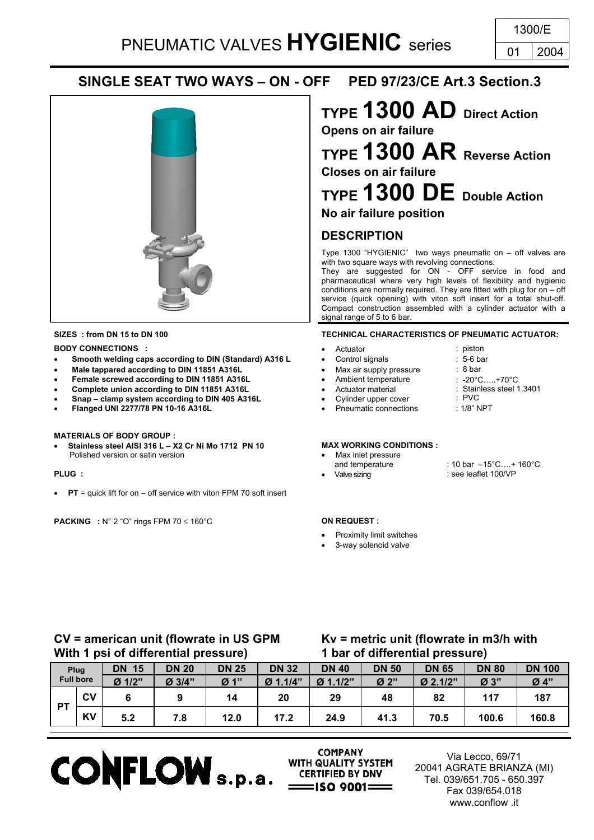# **SINGLE SEAT TWO WAYS – ON - OFF PED 97/23/CE Art.3 Section.3**



### **BODY CONNECTIONS :**  $\bullet$  Actuator : piston : piston

- **Smooth welding caps according to DIN (Standard) A316 L** Control signals : 5-6 bar
- **Male tappared according to DIN 11851 A316L** Max air supply pressure : 8 bar
- **Female screwed according to DIN 11851 A316L**
- **Complete union according to DIN 11851 A316L**
- **Snap clamp system according to DIN 405 A316L**
- **Flanged UNI 2277/78 PN 10-16 A316L** Pneumatic connections : 1/8" NPT

### **MATERIALS OF BODY GROUP :**

**Stainless steel AISI 316 L – X2 Cr Ni Mo 1712 PN 10 MAX WORKING CONDITIONS :**<br>Polished version or satin version Polished version or satin version **version version version version version version version version version version version version version version version version version version version** 

• **PT** = quick lift for on – off service with viton FPM 70 soft insert

**PACKING :** N° 2 "O" rings FPM 70 ≤ 160°C **ON REQUEST :**

# **TYPE 1300 AD Direct Action**

**Opens on air failure TYPE 1300 AR Reverse Action Closes on air failure**

**TYPE 1300 DE Double Action No air failure position**

# **DESCRIPTION**

Type 1300 "HYGIENIC" two ways pneumatic on – off valves are with two square ways with revolving connections.

They are suggested for ON - OFF service in food and pharmaceutical where very high levels of flexibility and hygienic conditions are normally required. They are fitted with plug for on – off service (quick opening) with viton soft insert for a total shut-off. Compact construction assembled with a cylinder actuator with a signal range of 5 to 6 bar.

### **SIZES : from DN 15 to DN 100 TECHNICAL CHARACTERISTICS OF PNEUMATIC ACTUATOR:**

- -
- 
- Ambient temperature
- Actuator material
- - Cylinder upper cover<br>Pneumatic connections

- 
- **PLUG :** Valve sizing : see leaflet 100/VP
- : 10 bar –15°C… + 160°C

: -20°C…..+70°C : Stainless steel 1.3401

: PVC

- Proximity limit switches
- 3-way solenoid valve

# **CV = american unit (flowrate in US GPM With 1 psi of differential pressure)**

# **Kv = metric unit (flowrate in m3/h with 1 bar of differential pressure)**

| Plug<br><b>Full bore</b> |           | 15<br>DN | <b>DN 20</b> | <b>DN 25</b>                  | <b>DN 32</b> | <b>DN 40</b> | <b>DN 50</b> | <b>DN 65</b> | <b>DN 80</b> | <b>DN 100</b> |
|--------------------------|-----------|----------|--------------|-------------------------------|--------------|--------------|--------------|--------------|--------------|---------------|
|                          |           | $Ø$ 1/2" | Ø 3/4"       | $\boldsymbol{\varnothing}$ 1" | Ø 1.1/4"     | Ø 1.1/2"     | Ø 2"         | $Ø$ 2.1/2"   | Ø 3"         | Ø 4"          |
| PТ                       | <b>CV</b> |          |              | 14                            | 20           | 29           | 48           | 82           | 117          | 187           |
|                          | <b>KV</b> | 5.2      | 7.8          | 12.0                          | 17.2         | 24.9         | 41.3         | 70.5         | 100.6        | 160.8         |



**COMPANY** WITH QUALITY SYSTEM

Via Lecco, 69/71 20041 AGRATE BRIANZA (MI) Tel. 039/651.705 - 650.397 Fax 039/654.018 www.conflow .it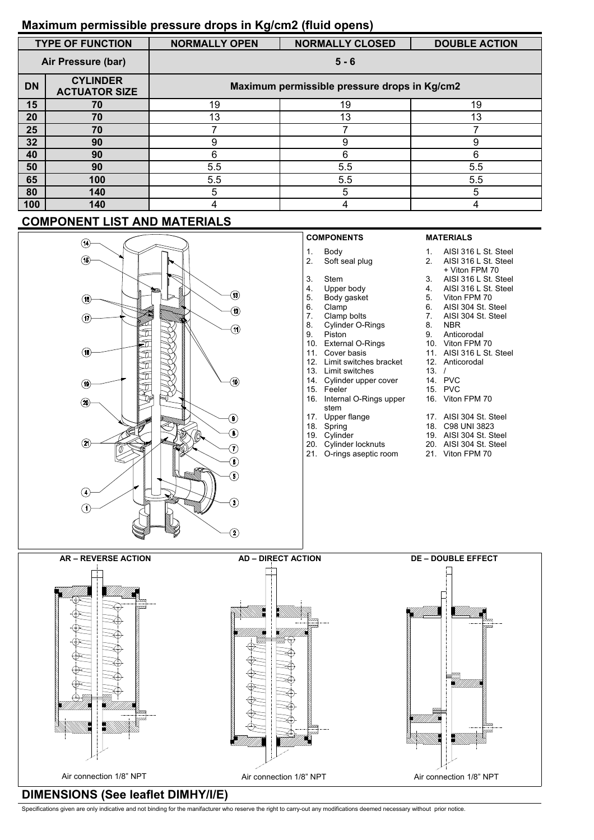### **Maximum permissible pressure drops in Kg/cm2 (fluid opens)**

|           | <b>TYPE OF FUNCTION</b>                 | <b>NORMALLY OPEN</b>                         | <b>NORMALLY CLOSED</b> | <b>DOUBLE ACTION</b> |  |  |  |  |  |  |
|-----------|-----------------------------------------|----------------------------------------------|------------------------|----------------------|--|--|--|--|--|--|
|           | Air Pressure (bar)                      | $5 - 6$                                      |                        |                      |  |  |  |  |  |  |
| <b>DN</b> | <b>CYLINDER</b><br><b>ACTUATOR SIZE</b> | Maximum permissible pressure drops in Kg/cm2 |                        |                      |  |  |  |  |  |  |
| 15        | 70                                      | 19                                           | 19                     | 19                   |  |  |  |  |  |  |
| 20        | 70                                      | 13                                           | 13                     | 13                   |  |  |  |  |  |  |
| 25        | 70                                      |                                              |                        |                      |  |  |  |  |  |  |
| 32        | 90                                      | 9                                            | 9                      | 9                    |  |  |  |  |  |  |
| 40        | 90                                      | 6                                            | 6                      | 6                    |  |  |  |  |  |  |
| 50        | 90                                      | 5.5                                          | 5.5                    | 5.5                  |  |  |  |  |  |  |
| 65        | 100                                     | 5.5                                          | 5.5                    | 5.5                  |  |  |  |  |  |  |
| 80        | 140                                     | 5                                            | 5                      | 5                    |  |  |  |  |  |  |
| 100       | 140                                     |                                              |                        |                      |  |  |  |  |  |  |

### **COMPONENT LIST AND MATERIALS**



### **DIMENSIONS (See leaflet DIMHY/I/E)**

Specifications given are only indicative and not binding for the manifacturer who reserve the right to carry-out any modifications deemed necessary without prior notice.